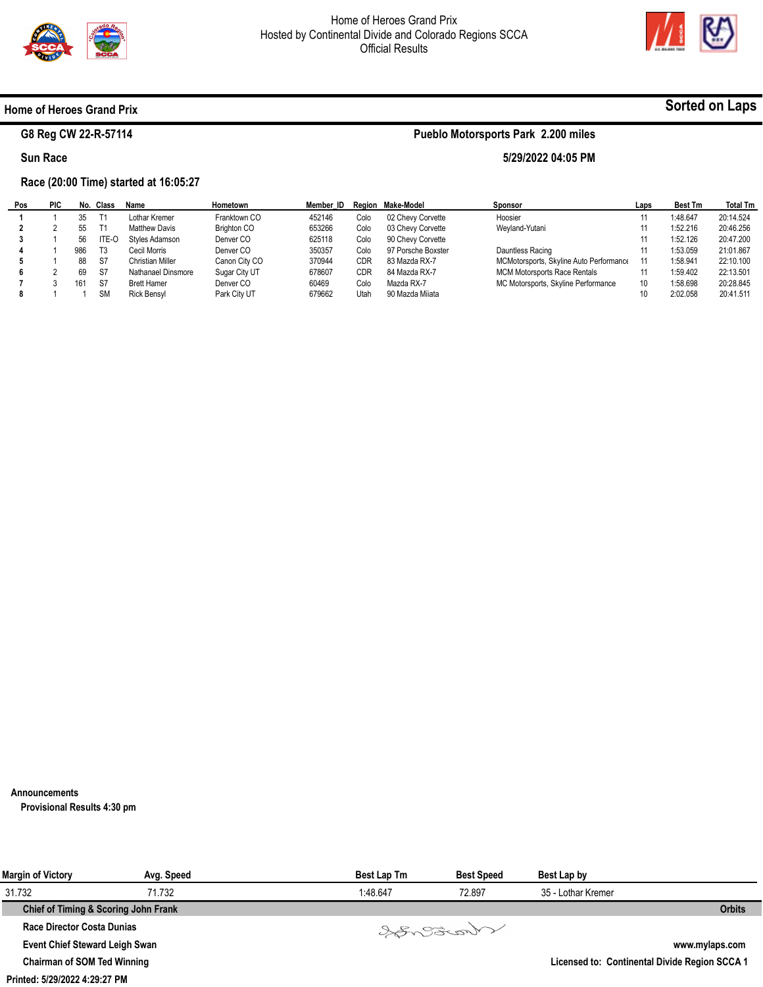

**Pueblo Motorsports Park 2.200 miles** 

**5/29/2022 04:05 PM** 



**Sorted on Laps**

#### **Home of Heroes Grand Prix**

# **G8 Reg CW 22-R-57114**

## **Sun Race**

 $\blacksquare$ 

## **Race (20:00 Time) started at 16:05:27**

| Pos | <b>PIC</b> | No. | Class     | Name                 | Hometown           | Member ID |            | Region Make-Model  | <b>Sponsor</b>                          | Laps | <b>Best Tm</b> | <b>Total Tm</b> |
|-----|------------|-----|-----------|----------------------|--------------------|-----------|------------|--------------------|-----------------------------------------|------|----------------|-----------------|
|     |            | 35  | T1        | Lothar Kremer        | Franktown CO       | 452146    | Colo       | 02 Chevy Corvette  | Hoosier                                 |      | 1:48.647       | 20:14.524       |
|     |            | 55  | T1        | <b>Matthew Davis</b> | <b>Brighton CO</b> | 653266    | Colo       | 03 Chevy Corvette  | Weyland-Yutani                          |      | 1:52.216       | 20:46.256       |
|     |            | 56  | ITE-O     | Styles Adamson       | Denver CO          | 625118    | Colo       | 90 Chevy Corvette  |                                         |      | 1:52.126       | 20:47.200       |
|     |            | 986 | T3        | Cecil Morris         | Denver CO          | 350357    | Colo       | 97 Porsche Boxster | Dauntless Racing                        |      | 1:53.059       | 21:01.867       |
|     |            | 88  | -S7       | Christian Miller     | Canon City CO      | 370944    | CDR        | 83 Mazda RX-7      | MCMotorsports, Skyline Auto Performance |      | 1:58.941       | 22:10.100       |
|     |            | 69  | S7        | Nathanael Dinsmore   | Sugar City UT      | 678607    | <b>CDR</b> | 84 Mazda RX-7      | <b>MCM Motorsports Race Rentals</b>     |      | 1:59.402       | 22:13.501       |
|     |            | 16' | -S7       | <b>Brett Hamer</b>   | Denver CO          | 60469     | Colo       | Mazda RX-7         | MC Motorsports, Skyline Performance     | 10   | 1:58.698       | 20:28.845       |
|     |            |     | <b>SM</b> | <b>Rick Bensyl</b>   | Park City UT       | 679662    | Utah       | 90 Mazda Miiata    |                                         |      | 2:02.058       | 20:41.511       |

#### **Announcements**

**Provisional Results 4:30 pm** 

| <b>Margin of Victory</b>              | Avg. Speed | <b>Best Lap Tm</b> | <b>Best Speed</b> | Best Lap by        |                                               |
|---------------------------------------|------------|--------------------|-------------------|--------------------|-----------------------------------------------|
| 31.732                                | 71.732     | 1:48.647           | 72.897            | 35 - Lothar Kremer |                                               |
| Chief of Timing & Scoring John Frank  |            |                    |                   |                    | <b>Orbits</b>                                 |
| <b>Race Director Costa Dunias</b>     |            |                    | Varant            |                    |                                               |
| <b>Event Chief Steward Leigh Swan</b> |            |                    |                   |                    | www.mylaps.com                                |
| <b>Chairman of SOM Ted Winning</b>    |            |                    |                   |                    | Licensed to: Continental Divide Region SCCA 1 |

**Printed: 5/29/2022 4:29:27 PM**